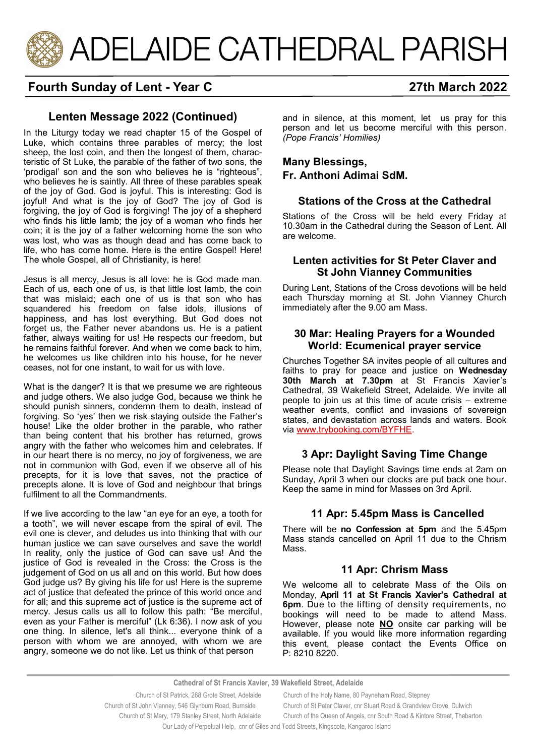

# **Fourth Sunday of Lent - Year C 27th March 2022**

# **Lenten Message 2022 (Continued)**

In the Liturgy today we read chapter 15 of the Gospel of Luke, which contains three parables of mercy; the lost sheep, the lost coin, and then the longest of them, characteristic of St Luke, the parable of the father of two sons, the 'prodigal' son and the son who believes he is "righteous", who believes he is saintly. All three of these parables speak of the joy of God. God is joyful. This is interesting: God is joyful! And what is the joy of God? The joy of God is forgiving, the joy of God is forgiving! The joy of a shepherd who finds his little lamb; the joy of a woman who finds her coin; it is the joy of a father welcoming home the son who was lost, who was as though dead and has come back to life, who has come home. Here is the entire Gospel! Here! The whole Gospel, all of Christianity, is here!

Jesus is all mercy, Jesus is all love: he is God made man. Each of us, each one of us, is that little lost lamb, the coin that was mislaid; each one of us is that son who has squandered his freedom on false idols, illusions of happiness, and has lost everything. But God does not forget us, the Father never abandons us. He is a patient father, always waiting for us! He respects our freedom, but he remains faithful forever. And when we come back to him, he welcomes us like children into his house, for he never ceases, not for one instant, to wait for us with love.

What is the danger? It is that we presume we are righteous and judge others. We also judge God, because we think he should punish sinners, condemn them to death, instead of forgiving. So 'yes' then we risk staying outside the Father's house! Like the older brother in the parable, who rather than being content that his brother has returned, grows angry with the father who welcomes him and celebrates. If in our heart there is no mercy, no joy of forgiveness, we are not in communion with God, even if we observe all of his precepts, for it is love that saves, not the practice of precepts alone. It is love of God and neighbour that brings fulfilment to all the Commandments.

If we live according to the law "an eye for an eye, a tooth for a tooth", we will never escape from the spiral of evil. The evil one is clever, and deludes us into thinking that with our human justice we can save ourselves and save the world! In reality, only the justice of God can save us! And the justice of God is revealed in the Cross: the Cross is the judgement of God on us all and on this world. But how does God judge us? By giving his life for us! Here is the supreme act of justice that defeated the prince of this world once and for all; and this supreme act of justice is the supreme act of mercy. Jesus calls us all to follow this path: "Be merciful, even as your Father is merciful" (Lk 6:36). I now ask of you one thing. In silence, let's all think... everyone think of a person with whom we are annoyed, with whom we are angry, someone we do not like. Let us think of that person

and in silence, at this moment, let us pray for this person and let us become merciful with this person. *(Pope Francis' Homilies)*

# **Many Blessings, Fr. Anthoni Adimai SdM.**

# **Stations of the Cross at the Cathedral**

Stations of the Cross will be held every Friday at 10.30am in the Cathedral during the Season of Lent. All are welcome.

#### **Lenten activities for St Peter Claver and St John Vianney Communities**

During Lent, Stations of the Cross devotions will be held each Thursday morning at St. John Vianney Church immediately after the 9.00 am Mass.

#### **30 Mar: Healing Prayers for a Wounded World: Ecumenical prayer service**

Churches Together SA invites people of all cultures and faiths to pray for peace and justice on **Wednesday 30th March at 7.30pm** at St Francis Xavier's Cathedral, 39 Wakefield Street, Adelaide. We invite all people to join us at this time of acute crisis – extreme weather events, conflict and invasions of sovereign states, and devastation across lands and waters. Book via [www.trybooking.com/BYFHE.](http://www.trybooking.com/BYFHE)

# **3 Apr: Daylight Saving Time Change**

Please note that Daylight Savings time ends at 2am on Sunday, April 3 when our clocks are put back one hour. Keep the same in mind for Masses on 3rd April.

#### **11 Apr: 5.45pm Mass is Cancelled**

There will be **no Confession at 5pm** and the 5.45pm Mass stands cancelled on April 11 due to the Chrism Mass.

#### **11 Apr: Chrism Mass**

We welcome all to celebrate Mass of the Oils on Monday, **April 11 at St Francis Xavier's Cathedral at 6pm**. Due to the lifting of density requirements, no bookings will need to be made to attend Mass. However, please note **NO** onsite car parking will be available. If you would like more information regarding this event, please contact the Events Office on P: 8210 8220.

**Cathedral of St Francis Xavier, 39 Wakefield Street, Adelaide**

Our Lady of Perpetual Help, cnr of Giles and Todd Streets, Kingscote, Kangaroo Island

Church of St Patrick, 268 Grote Street, Adelaide Church of the Holy Name, 80 Payneham Road, Stepney Church of St John Vianney, 546 Glynburn Road, Burnside Church of St Peter Claver, cnr Stuart Road & Grandview Grove, Dulwich Church of St Mary, 179 Stanley Street, North Adelaide Church of the Queen of Angels, cnr South Road & Kintore Street, Thebarton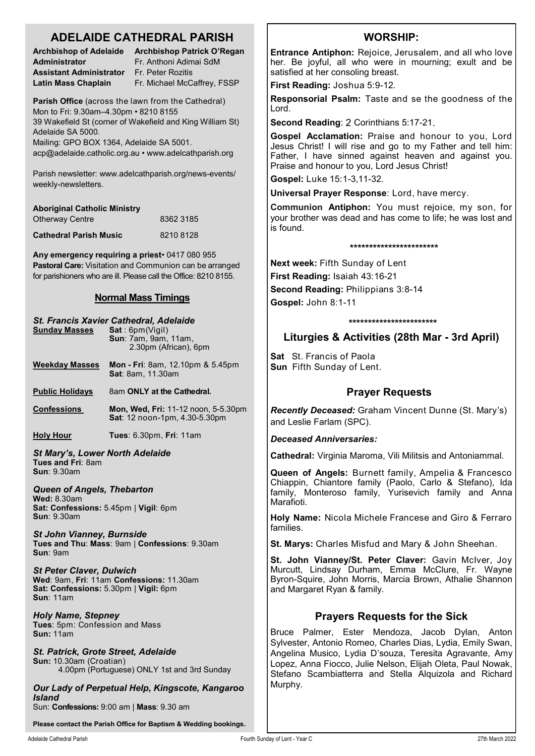# **ADELAIDE CATHEDRAL PARISH**

| <b>Archbishop of Adelaide</b> |  |
|-------------------------------|--|
| Administrator                 |  |
| Assistant Administrator       |  |
| Latin Mass Chaplain           |  |

**Archbishop Patrick O'Regan Administrator** Fr. Anthoni Adimai SdM **Assistant Administrator** Fr. Peter Rozitis **Latin Mass Chaplain** Fr. Michael McCaffrey, FSSP

**Parish Office** (across the lawn from the Cathedral) Mon to Fri: 9.30am–4.30pm • 8210 8155 39 Wakefield St (corner of Wakefield and King William St) Adelaide SA 5000. Mailing: GPO BOX 1364, Adelaide SA 5001.

acp@adelaide.catholic.org.au • www.adelcathparish.org

Parish newsletter: www.adelcathparish.org/news-events/ weekly-newsletters.

| <b>Aboriginal Catholic Ministry</b> |           |
|-------------------------------------|-----------|
| <b>Otherway Centre</b>              | 8362 3185 |
| <b>Cathedral Parish Music</b>       | 82108128  |

**Any emergency requiring a priest**• 0417 080 955 **Pastoral Care:** Visitation and Communion can be arranged for parishioners who are ill. Please call the Office: 8210 8155.

| <b>Normal Mass Timings</b>                                                                          |                                                                                                                                       |  | <b>Second Reading:</b> Philippians<br>Gospel: John 8:1-11                                                                                                             |
|-----------------------------------------------------------------------------------------------------|---------------------------------------------------------------------------------------------------------------------------------------|--|-----------------------------------------------------------------------------------------------------------------------------------------------------------------------|
| <b>Sunday Masses</b>                                                                                | <b>St. Francis Xavier Cathedral, Adelaide</b><br>Sat: 6pm(Vigil)<br>Sun: 7am, 9am, 11am,<br>2.30pm (African), 6pm                     |  | ************<br><b>Liturgies &amp; Activities</b>                                                                                                                     |
| <b>Weekday Masses</b>                                                                               | Mon - Fri: 8am, 12.10pm & 5.45pm<br>Sat: 8am, 11.30am                                                                                 |  | Sat St. Francis of Paola<br>Sun Fifth Sunday of Lent.                                                                                                                 |
| <b>Public Holidays</b>                                                                              | 8am ONLY at the Cathedral.                                                                                                            |  | <b>Prayer Re</b>                                                                                                                                                      |
| <b>Confessions</b>                                                                                  | Mon, Wed, Fri: 11-12 noon, 5-5.30pm<br>Sat: 12 noon-1pm, 4.30-5.30pm                                                                  |  | <b>Recently Deceased: Graham</b><br>and Leslie Farlam (SPC).                                                                                                          |
| <b>Holy Hour</b>                                                                                    | Tues: 6.30pm, Fri: 11am                                                                                                               |  | <b>Deceased Anniversaries:</b>                                                                                                                                        |
| Tues and Fri: 8am                                                                                   | <b>St Mary's, Lower North Adelaide</b>                                                                                                |  | Cathedral: Virginia Maroma, V                                                                                                                                         |
| <b>Sun: 9.30am</b><br><b>Queen of Angels, Thebarton</b><br><b>Wed: 8.30am</b><br><b>Sun: 9.30am</b> | Sat: Confessions: 5.45pm   Vigil: 6pm                                                                                                 |  | Queen of Angels: Burnett fa<br>Chiappin, Chiantore family (F<br>family, Monteroso family, Y<br>Marafioti.<br>Holy Name: Nicola Michele F                              |
| <b>St John Vianney, Burnside</b><br>Sun: 9am                                                        | Tues and Thu: Mass: 9am   Confessions: 9.30am                                                                                         |  | families.<br>St. Marys: Charles Misfud an                                                                                                                             |
| <b>St Peter Claver, Dulwich</b><br><b>Sun: 11am</b>                                                 | Wed: 9am, Fri: 11am Confessions: 11.30am<br>Sat: Confessions: 5.30pm   Vigil: 6pm                                                     |  | St. John Vianney/St. Peter<br>Murcutt, Lindsay Durham, E<br>Byron-Squire, John Morris, Ma<br>and Margaret Ryan & family.                                              |
| <b>Holy Name, Stepney</b><br>Tues: 5pm: Confession and Mass                                         |                                                                                                                                       |  | <b>Prayers Reques</b>                                                                                                                                                 |
| <b>Sun: 11am</b><br>Sun: 10.30am (Croatian)                                                         | St. Patrick, Grote Street, Adelaide<br>4.00pm (Portuguese) ONLY 1st and 3rd Sunday<br>Our Lady of Perpetual Help, Kingscote, Kangaroo |  | Bruce Palmer, Ester Mend<br>Sylvester, Antonio Romeo, Cha<br>Angelina Musico, Lydia D'sou<br>Lopez, Anna Fiocco, Julie Nels<br>Stefano Scambiatterra and S<br>Murphy. |
| <b>Island</b>                                                                                       | Sun: Confessions: 9:00 am   Mass: 9.30 am                                                                                             |  |                                                                                                                                                                       |

**Please contact the Parish Office for Baptism & Wedding bookings.**

# **WORSHIP:**

**Entrance Antiphon:** Rejoice, Jerusalem, and all who love her. Be joyful, all who were in mourning; exult and be satisfied at her consoling breast.

**First Reading:** Joshua 5:9-12.

**Responsorial Psalm:** Taste and se the goodness of the Lord.

**Second Reading**: 2 Corinthians 5:17-21.

**Gospel Acclamation:** Praise and honour to you, Lord Jesus Christ! I will rise and go to my Father and tell him: Father, I have sinned against heaven and against you. Praise and honour to you, Lord Jesus Christ!

**Gospel:** Luke 15:1-3,11-32.

**Universal Prayer Response**: Lord, have mercy.

**Communion Antiphon:** You must rejoice, my son, for your brother was dead and has come to life; he was lost and is found.

**\*\*\*\*\*\*\*\*\*\*\*\*\*\*\*\*\*\*\*\*\*\*\***

**Next week:** Fifth Sunday of Lent **First Reading:** Isaiah 43:16-21 **Second Reading:** Philippians 3:8-14

#### **\*\*\*\*\*\*\*\*\*\*\*\*\*\*\*\*\*\*\*\*\*\*\***

# **Liturgies & Activities (28th Mar - 3rd April)**

# **Prayer Requests**

*Vincent Dunne (St. Mary's)* 

**II** Militsis and Antoniammal.

amily, Ampelia & Francesco Paolo, Carlo & Stefano), Ida 'urisevich family and Anna

Francese and Giro & Ferraro

d Mary & John Sheehan.

**Claver:** Gavin McIver, Joy Emma McClure, Fr. Wayne arcia Brown. Athalie Shannon

# **Reading Sick**

doza, Jacob Dylan, Anton arles Dias, Lydia, Emily Swan, iza, Teresita Agravante, Amy son, Elijah Oleta, Paul Nowak, Stella Alquizola and Richard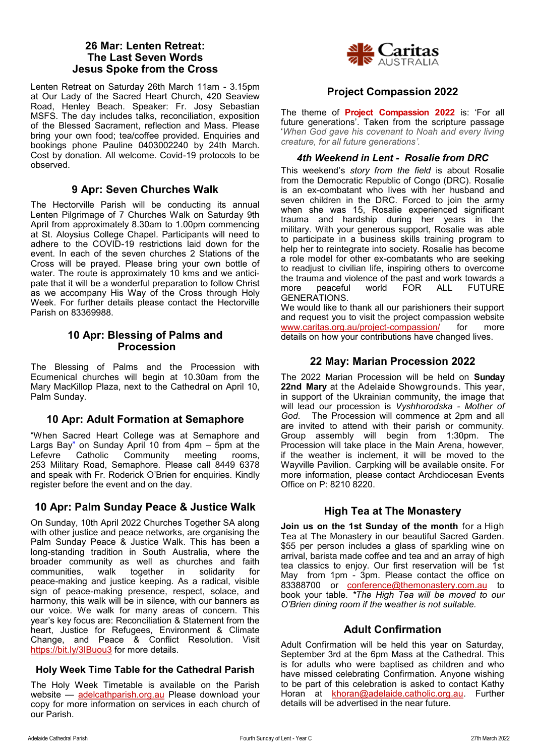#### **26 Mar: Lenten Retreat: The Last Seven Words Jesus Spoke from the Cross**

Lenten Retreat on Saturday 26th March 11am - 3.15pm at Our Lady of the Sacred Heart Church, 420 Seaview Road, Henley Beach. Speaker: Fr. Josy Sebastian MSFS. The day includes talks, reconciliation, exposition of the Blessed Sacrament, reflection and Mass. Please bring your own food; tea/coffee provided. Enquiries and bookings phone Pauline 0403002240 by 24th March. Cost by donation. All welcome. Covid-19 protocols to be observed.

#### **9 Apr: Seven Churches Walk**

The Hectorville Parish will be conducting its annual Lenten Pilgrimage of 7 Churches Walk on Saturday 9th April from approximately 8.30am to 1.00pm commencing at St. Aloysius College Chapel. Participants will need to adhere to the COVID-19 restrictions laid down for the event. In each of the seven churches 2 Stations of the Cross will be prayed. Please bring your own bottle of water. The route is approximately 10 kms and we anticipate that it will be a wonderful preparation to follow Christ as we accompany His Way of the Cross through Holy Week. For further details please contact the Hectorville Parish on 83369988.

## **10 Apr: Blessing of Palms and Procession**

The Blessing of Palms and the Procession with Ecumenical churches will begin at 10.30am from the Mary MacKillop Plaza, next to the Cathedral on April 10, Palm Sunday.

# **10 Apr: Adult Formation at Semaphore**

"When Sacred Heart College was at Semaphore and Largs Bay" on Sunday April 10 from 4pm – 5pm at the Lefevre Catholic Community meeting rooms, 253 Military Road, Semaphore. Please call 8449 6378 and speak with Fr. Roderick O'Brien for enquiries. Kindly register before the event and on the day.

# **10 Apr: Palm Sunday Peace & Justice Walk**

On Sunday, 10th April 2022 Churches Together SA along with other justice and peace networks, are organising the Palm Sunday Peace & Justice Walk. This has been a long-standing tradition in South Australia, where the broader community as well as churches and faith communities, walk together in solidarity for peace-making and justice keeping. As a radical, visible sign of peace-making presence, respect, solace, and harmony, this walk will be in silence, with our banners as our voice. We walk for many areas of concern. This year's key focus are: Reconciliation & Statement from the heart, Justice for Refugees, Environment & Climate Change, and Peace & Conflict Resolution. Visit https://bit.ly/3IBuou3 for more details.

#### **Holy Week Time Table for the Cathedral Parish**

The Holy Week Timetable is available on the Parish website — [adelcathparish.org.au](https://www.adelcathparish.org/) Please download your copy for more information on services in each church of our Parish.



# **Project Compassion 2022**

The theme of **Project Compassion 2022** is: 'For all future generations'. Taken from the scripture passage '*When God gave his covenant to Noah and every living creature, for all future generations'.*

#### *4th Weekend in Lent - Rosalie from DRC*

This weekend's *story from the field* is about Rosalie from the Democratic Republic of Congo (DRC). Rosalie is an ex-combatant who lives with her husband and seven children in the DRC. Forced to join the army when she was 15, Rosalie experienced significant trauma and hardship during her years in the military. With your generous support, Rosalie was able to participate in a business skills training program to help her to reintegrate into society. Rosalie has become a role model for other ex-combatants who are seeking to readjust to civilian life, inspiring others to overcome the trauma and violence of the past and work towards a more peaceful world FOR ALL FUTURE GENERATIONS.

We would like to thank all our parishioners their support and request you to visit the project compassion website [www.caritas.org.au/project](http://www.caritas.org.au/project-compassion/)-compassion/ for more details on how your contributions have changed lives.

# **22 May: Marian Procession 2022**

The 2022 Marian Procession will be held on **Sunday 22nd Mary** at the Adelaide Showgrounds. This year, in support of the Ukrainian community, the image that will lead our procession is *Vyshhorodska - Mother of God*. The Procession will commence at 2pm and all are invited to attend with their parish or community. Group assembly will begin from 1:30pm. The Procession will take place in the Main Arena, however, if the weather is inclement, it will be moved to the Wayville Pavilion. Carpking will be available onsite. For more information, please contact Archdiocesan Events Office on P: 8210 8220.

#### **High Tea at The Monastery**

**Join us on the 1st Sunday of the month** for a High Tea at The Monastery in our beautiful Sacred Garden. \$55 per person includes a glass of sparkling wine on arrival, barista made coffee and tea and an array of high tea classics to enjoy. Our first reservation will be 1st May from 1pm - 3pm. Please contact the office on 83388700 or [conference@themonastery.com.au](mailto:conference@themonastery.com.au) to book your table. *\*The High Tea will be moved to our O'Brien dining room if the weather is not suitable.*

# **Adult Confirmation**

Adult Confirmation will be held this year on Saturday, September 3rd at the 6pm Mass at the Cathedral. This is for adults who were baptised as children and who have missed celebrating Confirmation. Anyone wishing to be part of this celebration is asked to contact Kathy Horan at [khoran@adelaide.catholic.org.au.](mailto:khoran@adelaide.catholic.org.au) Further details will be advertised in the near future.